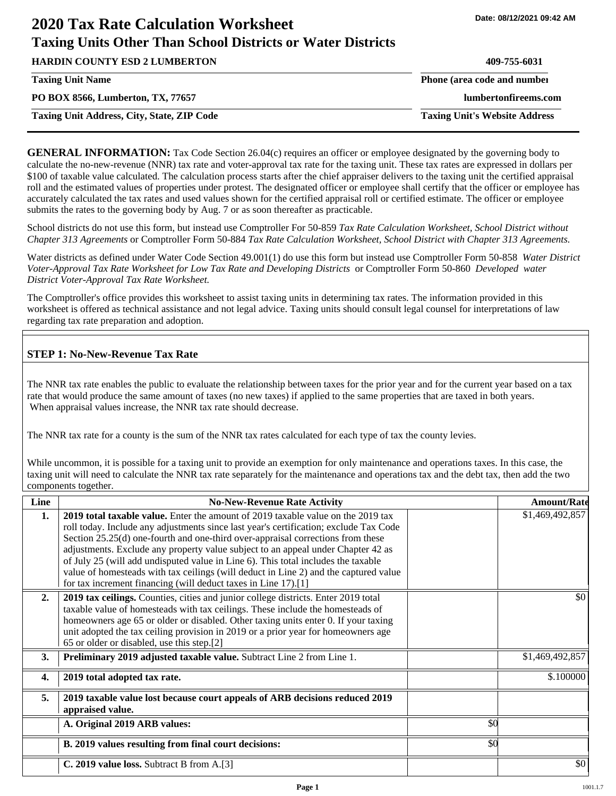# **2020 Tax Rate Calculation Worksheet Taxing Units Other Than School Districts or Water Districts**

**HARDIN COUNTY ESD 2 LUMBERTON 409-755-6031 PO BOX 8566, Lumberton, TX, 77657 lumbertonfireems.com Taxing Unit Name Phone (area code and number Phone (area code and number Taxing Unit Address, City, State, ZIP Code Taxing Unit's Website Address**

**GENERAL INFORMATION:** Tax Code Section 26.04(c) requires an officer or employee designated by the governing body to calculate the no-new-revenue (NNR) tax rate and voter-approval tax rate for the taxing unit. These tax rates are expressed in dollars per \$100 of taxable value calculated. The calculation process starts after the chief appraiser delivers to the taxing unit the certified appraisal roll and the estimated values of properties under protest. The designated officer or employee shall certify that the officer or employee has accurately calculated the tax rates and used values shown for the certified appraisal roll or certified estimate. The officer or employee submits the rates to the governing body by Aug. 7 or as soon thereafter as practicable.

School districts do not use this form, but instead use Comptroller For 50-859 *Tax Rate Calculation Worksheet, School District without Chapter 313 Agreements* or Comptroller Form 50-884 *Tax Rate Calculation Worksheet, School District with Chapter 313 Agreements.*

Water districts as defined under Water Code Section 49.001(1) do use this form but instead use Comptroller Form 50-858 *Water District Voter-Approval Tax Rate Worksheet for Low Tax Rate and Developing Districts* or Comptroller Form 50-860 *Developed water District Voter-Approval Tax Rate Worksheet.*

The Comptroller's office provides this worksheet to assist taxing units in determining tax rates. The information provided in this worksheet is offered as technical assistance and not legal advice. Taxing units should consult legal counsel for interpretations of law regarding tax rate preparation and adoption.

## **STEP 1: No-New-Revenue Tax Rate**

The NNR tax rate enables the public to evaluate the relationship between taxes for the prior year and for the current year based on a tax rate that would produce the same amount of taxes (no new taxes) if applied to the same properties that are taxed in both years. When appraisal values increase, the NNR tax rate should decrease.

The NNR tax rate for a county is the sum of the NNR tax rates calculated for each type of tax the county levies.

While uncommon, it is possible for a taxing unit to provide an exemption for only maintenance and operations taxes. In this case, the taxing unit will need to calculate the NNR tax rate separately for the maintenance and operations tax and the debt tax, then add the two components together.

| Line             | <b>No-New-Revenue Rate Activity</b>                                                                                                                                                                                                                                                                                                                                                                                                                                                                                                                                                             |     | <b>Amount/Rate</b> |
|------------------|-------------------------------------------------------------------------------------------------------------------------------------------------------------------------------------------------------------------------------------------------------------------------------------------------------------------------------------------------------------------------------------------------------------------------------------------------------------------------------------------------------------------------------------------------------------------------------------------------|-----|--------------------|
| 1.               | 2019 total taxable value. Enter the amount of 2019 taxable value on the 2019 tax<br>roll today. Include any adjustments since last year's certification; exclude Tax Code<br>Section 25.25(d) one-fourth and one-third over-appraisal corrections from these<br>adjustments. Exclude any property value subject to an appeal under Chapter 42 as<br>of July 25 (will add undisputed value in Line 6). This total includes the taxable<br>value of homesteads with tax ceilings (will deduct in Line 2) and the captured value<br>for tax increment financing (will deduct taxes in Line 17).[1] |     | \$1,469,492,857    |
| 2.               | 2019 tax ceilings. Counties, cities and junior college districts. Enter 2019 total<br>taxable value of homesteads with tax ceilings. These include the homesteads of<br>homeowners age 65 or older or disabled. Other taxing units enter 0. If your taxing<br>unit adopted the tax ceiling provision in 2019 or a prior year for homeowners age<br>65 or older or disabled, use this step.[2]                                                                                                                                                                                                   |     | \$0                |
| 3.               | Preliminary 2019 adjusted taxable value. Subtract Line 2 from Line 1.                                                                                                                                                                                                                                                                                                                                                                                                                                                                                                                           |     | \$1,469,492,857    |
| $\overline{4}$ . | 2019 total adopted tax rate.                                                                                                                                                                                                                                                                                                                                                                                                                                                                                                                                                                    |     | \$.100000          |
| 5.               | 2019 taxable value lost because court appeals of ARB decisions reduced 2019<br>appraised value.                                                                                                                                                                                                                                                                                                                                                                                                                                                                                                 |     |                    |
|                  | A. Original 2019 ARB values:                                                                                                                                                                                                                                                                                                                                                                                                                                                                                                                                                                    | \$0 |                    |
|                  | B. 2019 values resulting from final court decisions:                                                                                                                                                                                                                                                                                                                                                                                                                                                                                                                                            | \$0 |                    |
|                  | C. 2019 value loss. Subtract B from A.[3]                                                                                                                                                                                                                                                                                                                                                                                                                                                                                                                                                       |     | \$0                |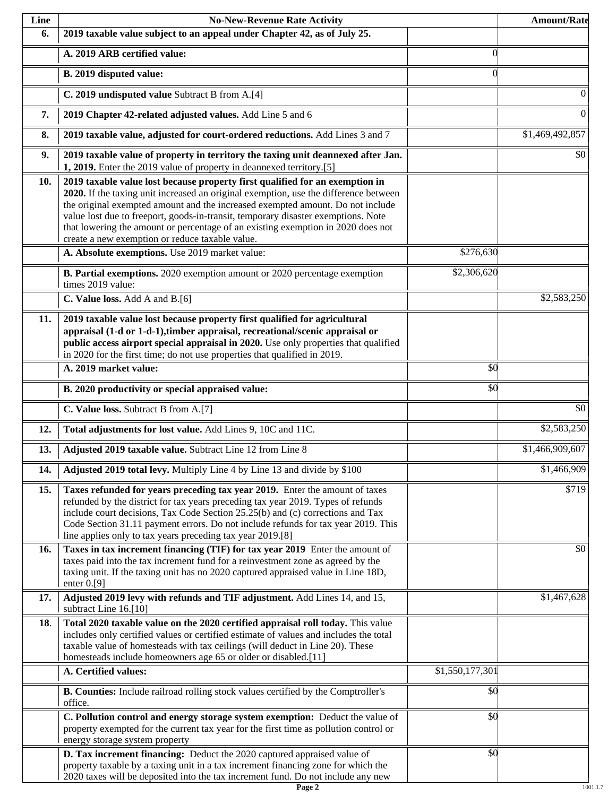| Line | <b>No-New-Revenue Rate Activity</b>                                                                                                                                                                                                                                                                                                                                                                                                                                                |                 | <b>Amount/Rate</b> |
|------|------------------------------------------------------------------------------------------------------------------------------------------------------------------------------------------------------------------------------------------------------------------------------------------------------------------------------------------------------------------------------------------------------------------------------------------------------------------------------------|-----------------|--------------------|
| 6.   | 2019 taxable value subject to an appeal under Chapter 42, as of July 25.                                                                                                                                                                                                                                                                                                                                                                                                           |                 |                    |
|      | A. 2019 ARB certified value:                                                                                                                                                                                                                                                                                                                                                                                                                                                       | $\theta$        |                    |
|      | B. 2019 disputed value:                                                                                                                                                                                                                                                                                                                                                                                                                                                            | $\Omega$        |                    |
|      | C. 2019 undisputed value Subtract B from A.[4]                                                                                                                                                                                                                                                                                                                                                                                                                                     |                 | $\Omega$           |
| 7.   | 2019 Chapter 42-related adjusted values. Add Line 5 and 6                                                                                                                                                                                                                                                                                                                                                                                                                          |                 | $\boldsymbol{0}$   |
| 8.   | 2019 taxable value, adjusted for court-ordered reductions. Add Lines 3 and 7                                                                                                                                                                                                                                                                                                                                                                                                       |                 | \$1,469,492,857    |
| 9.   | 2019 taxable value of property in territory the taxing unit deannexed after Jan.<br>1, 2019. Enter the 2019 value of property in deannexed territory.[5]                                                                                                                                                                                                                                                                                                                           |                 | \$0                |
| 10.  | 2019 taxable value lost because property first qualified for an exemption in<br>2020. If the taxing unit increased an original exemption, use the difference between<br>the original exempted amount and the increased exempted amount. Do not include<br>value lost due to freeport, goods-in-transit, temporary disaster exemptions. Note<br>that lowering the amount or percentage of an existing exemption in 2020 does not<br>create a new exemption or reduce taxable value. |                 |                    |
|      | A. Absolute exemptions. Use 2019 market value:                                                                                                                                                                                                                                                                                                                                                                                                                                     | \$276,630       |                    |
|      | B. Partial exemptions. 2020 exemption amount or 2020 percentage exemption<br>times 2019 value:                                                                                                                                                                                                                                                                                                                                                                                     | \$2,306,620     |                    |
|      | C. Value loss. Add A and B.[6]                                                                                                                                                                                                                                                                                                                                                                                                                                                     |                 | \$2,583,250        |
| 11.  | 2019 taxable value lost because property first qualified for agricultural<br>appraisal (1-d or 1-d-1), timber appraisal, recreational/scenic appraisal or<br>public access airport special appraisal in 2020. Use only properties that qualified<br>in 2020 for the first time; do not use properties that qualified in 2019.                                                                                                                                                      |                 |                    |
|      | A. 2019 market value:                                                                                                                                                                                                                                                                                                                                                                                                                                                              | \$0             |                    |
|      | B. 2020 productivity or special appraised value:                                                                                                                                                                                                                                                                                                                                                                                                                                   | \$0             |                    |
|      | C. Value loss. Subtract B from A.[7]                                                                                                                                                                                                                                                                                                                                                                                                                                               |                 | $\overline{50}$    |
| 12.  | Total adjustments for lost value. Add Lines 9, 10C and 11C.                                                                                                                                                                                                                                                                                                                                                                                                                        |                 | \$2,583,250        |
| 13.  | Adjusted 2019 taxable value. Subtract Line 12 from Line 8                                                                                                                                                                                                                                                                                                                                                                                                                          |                 | \$1,466,909,607    |
| 14.  | Adjusted 2019 total levy. Multiply Line 4 by Line 13 and divide by \$100                                                                                                                                                                                                                                                                                                                                                                                                           |                 | \$1,466,909        |
| 15.  | Taxes refunded for years preceding tax year 2019. Enter the amount of taxes<br>refunded by the district for tax years preceding tax year 2019. Types of refunds<br>include court decisions, Tax Code Section 25.25(b) and (c) corrections and Tax<br>Code Section 31.11 payment errors. Do not include refunds for tax year 2019. This<br>line applies only to tax years preceding tax year 2019.[8]                                                                               |                 | \$719              |
| 16.  | Taxes in tax increment financing (TIF) for tax year 2019 Enter the amount of<br>taxes paid into the tax increment fund for a reinvestment zone as agreed by the<br>taxing unit. If the taxing unit has no 2020 captured appraised value in Line 18D,<br>enter $0.9$ ]                                                                                                                                                                                                              |                 | \$0                |
| 17.  | Adjusted 2019 levy with refunds and TIF adjustment. Add Lines 14, and 15,<br>subtract Line 16.[10]                                                                                                                                                                                                                                                                                                                                                                                 |                 | \$1,467,628        |
| 18.  | Total 2020 taxable value on the 2020 certified appraisal roll today. This value<br>includes only certified values or certified estimate of values and includes the total<br>taxable value of homesteads with tax ceilings (will deduct in Line 20). These<br>homesteads include homeowners age 65 or older or disabled.[11]                                                                                                                                                        |                 |                    |
|      | A. Certified values:                                                                                                                                                                                                                                                                                                                                                                                                                                                               | \$1,550,177,301 |                    |
|      | B. Counties: Include railroad rolling stock values certified by the Comptroller's<br>office.                                                                                                                                                                                                                                                                                                                                                                                       | \$0             |                    |
|      | C. Pollution control and energy storage system exemption: Deduct the value of<br>property exempted for the current tax year for the first time as pollution control or<br>energy storage system property                                                                                                                                                                                                                                                                           | \$0             |                    |
|      | D. Tax increment financing: Deduct the 2020 captured appraised value of<br>property taxable by a taxing unit in a tax increment financing zone for which the<br>2020 taxes will be deposited into the tax increment fund. Do not include any new                                                                                                                                                                                                                                   | $\overline{50}$ |                    |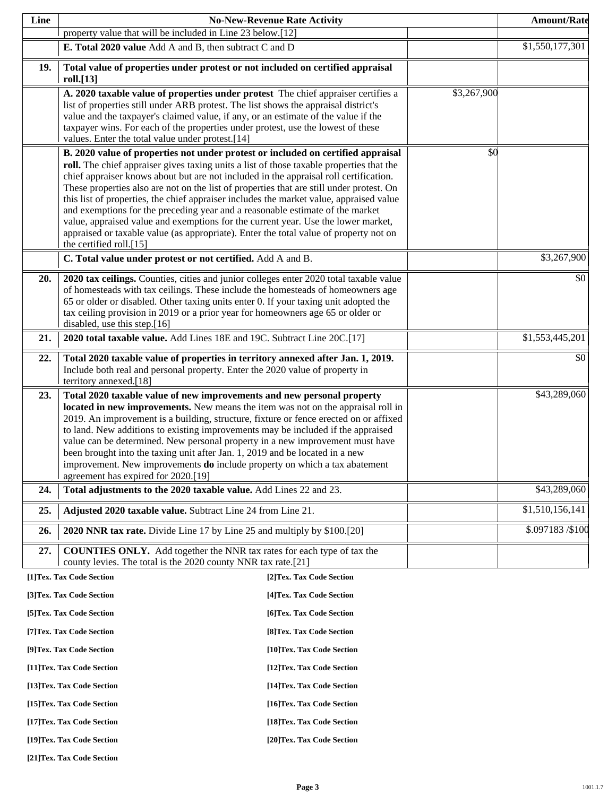| Line                                                     |                                                                                                                                                                                                                                                                                                                                                                                                                                                                                                                                                                                                                                                                                                                                                                                                                       | <b>No-New-Revenue Rate Activity</b> |             | <b>Amount/Rate</b>         |
|----------------------------------------------------------|-----------------------------------------------------------------------------------------------------------------------------------------------------------------------------------------------------------------------------------------------------------------------------------------------------------------------------------------------------------------------------------------------------------------------------------------------------------------------------------------------------------------------------------------------------------------------------------------------------------------------------------------------------------------------------------------------------------------------------------------------------------------------------------------------------------------------|-------------------------------------|-------------|----------------------------|
|                                                          | property value that will be included in Line 23 below.[12]                                                                                                                                                                                                                                                                                                                                                                                                                                                                                                                                                                                                                                                                                                                                                            |                                     |             |                            |
|                                                          | E. Total 2020 value Add A and B, then subtract C and D                                                                                                                                                                                                                                                                                                                                                                                                                                                                                                                                                                                                                                                                                                                                                                |                                     |             | $\overline{1,550,177,301}$ |
| 19.                                                      | Total value of properties under protest or not included on certified appraisal<br>roll.[13]                                                                                                                                                                                                                                                                                                                                                                                                                                                                                                                                                                                                                                                                                                                           |                                     |             |                            |
|                                                          | A. 2020 taxable value of properties under protest The chief appraiser certifies a<br>list of properties still under ARB protest. The list shows the appraisal district's<br>value and the taxpayer's claimed value, if any, or an estimate of the value if the<br>taxpayer wins. For each of the properties under protest, use the lowest of these<br>values. Enter the total value under protest.[14]                                                                                                                                                                                                                                                                                                                                                                                                                |                                     | \$3,267,900 |                            |
|                                                          | B. 2020 value of properties not under protest or included on certified appraisal<br>roll. The chief appraiser gives taxing units a list of those taxable properties that the<br>chief appraiser knows about but are not included in the appraisal roll certification.<br>These properties also are not on the list of properties that are still under protest. On<br>this list of properties, the chief appraiser includes the market value, appraised value<br>and exemptions for the preceding year and a reasonable estimate of the market<br>value, appraised value and exemptions for the current year. Use the lower market,<br>appraised or taxable value (as appropriate). Enter the total value of property not on<br>the certified roll.[15]<br>C. Total value under protest or not certified. Add A and B. |                                     | \$0         | \$3,267,900                |
| 20.                                                      | 2020 tax ceilings. Counties, cities and junior colleges enter 2020 total taxable value<br>of homesteads with tax ceilings. These include the homesteads of homeowners age<br>65 or older or disabled. Other taxing units enter 0. If your taxing unit adopted the<br>tax ceiling provision in 2019 or a prior year for homeowners age 65 or older or<br>disabled, use this step.[16]                                                                                                                                                                                                                                                                                                                                                                                                                                  |                                     |             | \$0                        |
| 21.                                                      | 2020 total taxable value. Add Lines 18E and 19C. Subtract Line 20C.[17]                                                                                                                                                                                                                                                                                                                                                                                                                                                                                                                                                                                                                                                                                                                                               |                                     |             | \$1,553,445,201            |
| 22.                                                      | Total 2020 taxable value of properties in territory annexed after Jan. 1, 2019.<br>Include both real and personal property. Enter the 2020 value of property in<br>territory annexed.[18]                                                                                                                                                                                                                                                                                                                                                                                                                                                                                                                                                                                                                             |                                     |             | \$0                        |
| 23.                                                      | Total 2020 taxable value of new improvements and new personal property<br>located in new improvements. New means the item was not on the appraisal roll in<br>2019. An improvement is a building, structure, fixture or fence erected on or affixed<br>to land. New additions to existing improvements may be included if the appraised<br>value can be determined. New personal property in a new improvement must have<br>been brought into the taxing unit after Jan. 1, 2019 and be located in a new<br>improvement. New improvements <b>do</b> include property on which a tax abatement<br>agreement has expired for 2020.[19]                                                                                                                                                                                  |                                     |             | \$43,289,060               |
| 24.                                                      | Total adjustments to the 2020 taxable value. Add Lines 22 and 23.                                                                                                                                                                                                                                                                                                                                                                                                                                                                                                                                                                                                                                                                                                                                                     |                                     |             | \$43,289,060               |
| 25.                                                      | Adjusted 2020 taxable value. Subtract Line 24 from Line 21.                                                                                                                                                                                                                                                                                                                                                                                                                                                                                                                                                                                                                                                                                                                                                           |                                     |             | \$1,510,156,141            |
| 26.                                                      | 2020 NNR tax rate. Divide Line 17 by Line 25 and multiply by \$100.[20]                                                                                                                                                                                                                                                                                                                                                                                                                                                                                                                                                                                                                                                                                                                                               |                                     |             | \$.097183 /\$100           |
| 27.                                                      | <b>COUNTIES ONLY.</b> Add together the NNR tax rates for each type of tax the<br>county levies. The total is the 2020 county NNR tax rate.[21]                                                                                                                                                                                                                                                                                                                                                                                                                                                                                                                                                                                                                                                                        |                                     |             |                            |
|                                                          | [1]Tex. Tax Code Section                                                                                                                                                                                                                                                                                                                                                                                                                                                                                                                                                                                                                                                                                                                                                                                              | [2]Tex. Tax Code Section            |             |                            |
|                                                          | [3]Tex. Tax Code Section                                                                                                                                                                                                                                                                                                                                                                                                                                                                                                                                                                                                                                                                                                                                                                                              | [4] Tex. Tax Code Section           |             |                            |
|                                                          | [5]Tex. Tax Code Section                                                                                                                                                                                                                                                                                                                                                                                                                                                                                                                                                                                                                                                                                                                                                                                              | [6] Tex. Tax Code Section           |             |                            |
|                                                          | [7] Tex. Tax Code Section                                                                                                                                                                                                                                                                                                                                                                                                                                                                                                                                                                                                                                                                                                                                                                                             | [8] Tex. Tax Code Section           |             |                            |
| [9]Tex. Tax Code Section<br>[10]Tex. Tax Code Section    |                                                                                                                                                                                                                                                                                                                                                                                                                                                                                                                                                                                                                                                                                                                                                                                                                       |                                     |             |                            |
| [11] Tex. Tax Code Section<br>[12] Tex. Tax Code Section |                                                                                                                                                                                                                                                                                                                                                                                                                                                                                                                                                                                                                                                                                                                                                                                                                       |                                     |             |                            |
|                                                          | [13] Tex. Tax Code Section                                                                                                                                                                                                                                                                                                                                                                                                                                                                                                                                                                                                                                                                                                                                                                                            | [14] Tex. Tax Code Section          |             |                            |
|                                                          | [15] Tex. Tax Code Section                                                                                                                                                                                                                                                                                                                                                                                                                                                                                                                                                                                                                                                                                                                                                                                            | [16] Tex. Tax Code Section          |             |                            |
|                                                          | [17] Tex. Tax Code Section                                                                                                                                                                                                                                                                                                                                                                                                                                                                                                                                                                                                                                                                                                                                                                                            | [18] Tex. Tax Code Section          |             |                            |
| [19]Tex. Tax Code Section<br>[20]Tex. Tax Code Section   |                                                                                                                                                                                                                                                                                                                                                                                                                                                                                                                                                                                                                                                                                                                                                                                                                       |                                     |             |                            |

**[21]Tex. Tax Code Section**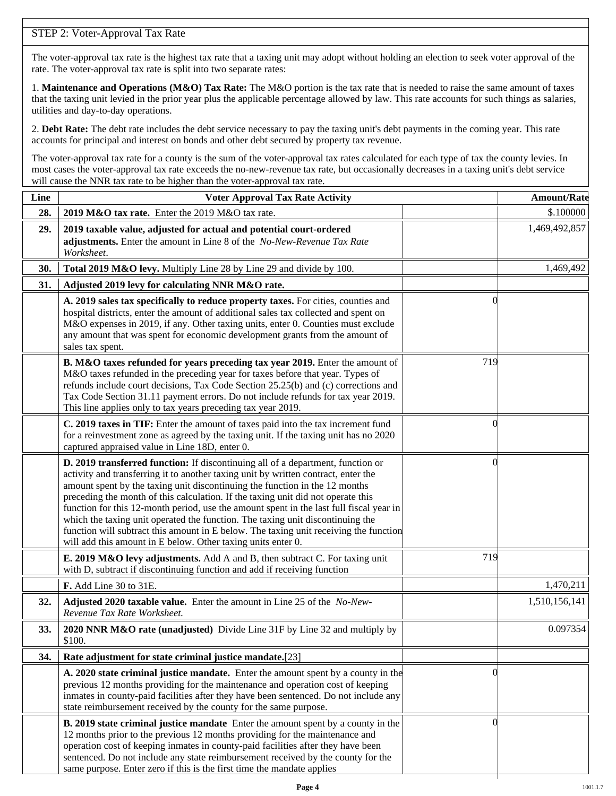## STEP 2: Voter-Approval Tax Rate

The voter-approval tax rate is the highest tax rate that a taxing unit may adopt without holding an election to seek voter approval of the rate. The voter-approval tax rate is split into two separate rates:

1. **Maintenance and Operations (M&O) Tax Rate:** The M&O portion is the tax rate that is needed to raise the same amount of taxes that the taxing unit levied in the prior year plus the applicable percentage allowed by law. This rate accounts for such things as salaries, utilities and day-to-day operations.

2. **Debt Rate:** The debt rate includes the debt service necessary to pay the taxing unit's debt payments in the coming year. This rate accounts for principal and interest on bonds and other debt secured by property tax revenue.

The voter-approval tax rate for a county is the sum of the voter-approval tax rates calculated for each type of tax the county levies. In most cases the voter-approval tax rate exceeds the no-new-revenue tax rate, but occasionally decreases in a taxing unit's debt service will cause the NNR tax rate to be higher than the voter-approval tax rate.

| Line | <b>Voter Approval Tax Rate Activity</b>                                                                                                                                                                                                                                                                                                                                                                                                                                                                                                                                                                                                                                        |                | <b>Amount/Rate</b> |
|------|--------------------------------------------------------------------------------------------------------------------------------------------------------------------------------------------------------------------------------------------------------------------------------------------------------------------------------------------------------------------------------------------------------------------------------------------------------------------------------------------------------------------------------------------------------------------------------------------------------------------------------------------------------------------------------|----------------|--------------------|
| 28.  | 2019 M&O tax rate. Enter the 2019 M&O tax rate.                                                                                                                                                                                                                                                                                                                                                                                                                                                                                                                                                                                                                                |                | \$.100000          |
| 29.  | 2019 taxable value, adjusted for actual and potential court-ordered<br>adjustments. Enter the amount in Line 8 of the No-New-Revenue Tax Rate<br>Worksheet.                                                                                                                                                                                                                                                                                                                                                                                                                                                                                                                    |                | 1,469,492,857      |
| 30.  | Total 2019 M&O levy. Multiply Line 28 by Line 29 and divide by 100.                                                                                                                                                                                                                                                                                                                                                                                                                                                                                                                                                                                                            |                | 1,469,492          |
| 31.  | Adjusted 2019 levy for calculating NNR M&O rate.                                                                                                                                                                                                                                                                                                                                                                                                                                                                                                                                                                                                                               |                |                    |
|      | A. 2019 sales tax specifically to reduce property taxes. For cities, counties and<br>hospital districts, enter the amount of additional sales tax collected and spent on<br>M&O expenses in 2019, if any. Other taxing units, enter 0. Counties must exclude<br>any amount that was spent for economic development grants from the amount of<br>sales tax spent.                                                                                                                                                                                                                                                                                                               | $\Omega$       |                    |
|      | B. M&O taxes refunded for years preceding tax year 2019. Enter the amount of<br>M&O taxes refunded in the preceding year for taxes before that year. Types of<br>refunds include court decisions, Tax Code Section 25.25(b) and (c) corrections and<br>Tax Code Section 31.11 payment errors. Do not include refunds for tax year 2019.<br>This line applies only to tax years preceding tax year 2019.                                                                                                                                                                                                                                                                        | 719            |                    |
|      | C. 2019 taxes in TIF: Enter the amount of taxes paid into the tax increment fund<br>for a reinvestment zone as agreed by the taxing unit. If the taxing unit has no 2020<br>captured appraised value in Line 18D, enter 0.                                                                                                                                                                                                                                                                                                                                                                                                                                                     | 0              |                    |
|      | D. 2019 transferred function: If discontinuing all of a department, function or<br>activity and transferring it to another taxing unit by written contract, enter the<br>amount spent by the taxing unit discontinuing the function in the 12 months<br>preceding the month of this calculation. If the taxing unit did not operate this<br>function for this 12-month period, use the amount spent in the last full fiscal year in<br>which the taxing unit operated the function. The taxing unit discontinuing the<br>function will subtract this amount in E below. The taxing unit receiving the function<br>will add this amount in E below. Other taxing units enter 0. | $\left($       |                    |
|      | E. 2019 M&O levy adjustments. Add A and B, then subtract C. For taxing unit<br>with D, subtract if discontinuing function and add if receiving function                                                                                                                                                                                                                                                                                                                                                                                                                                                                                                                        | 719            |                    |
|      | F. Add Line 30 to 31E.                                                                                                                                                                                                                                                                                                                                                                                                                                                                                                                                                                                                                                                         |                | 1,470,211          |
| 32.  | Adjusted 2020 taxable value. Enter the amount in Line 25 of the No-New-<br>Revenue Tax Rate Worksheet.                                                                                                                                                                                                                                                                                                                                                                                                                                                                                                                                                                         |                | 1,510,156,141      |
| 33.  | 2020 NNR M&O rate (unadjusted) Divide Line 31F by Line 32 and multiply by<br>\$100.                                                                                                                                                                                                                                                                                                                                                                                                                                                                                                                                                                                            |                | 0.097354           |
| 34.  | Rate adjustment for state criminal justice mandate.[23]                                                                                                                                                                                                                                                                                                                                                                                                                                                                                                                                                                                                                        |                |                    |
|      | A. 2020 state criminal justice mandate. Enter the amount spent by a county in the<br>previous 12 months providing for the maintenance and operation cost of keeping<br>inmates in county-paid facilities after they have been sentenced. Do not include any<br>state reimbursement received by the county for the same purpose.                                                                                                                                                                                                                                                                                                                                                | $\Omega$       |                    |
|      | <b>B. 2019 state criminal justice mandate</b> Enter the amount spent by a county in the<br>12 months prior to the previous 12 months providing for the maintenance and<br>operation cost of keeping inmates in county-paid facilities after they have been<br>sentenced. Do not include any state reimbursement received by the county for the<br>same purpose. Enter zero if this is the first time the mandate applies                                                                                                                                                                                                                                                       | $\overline{0}$ |                    |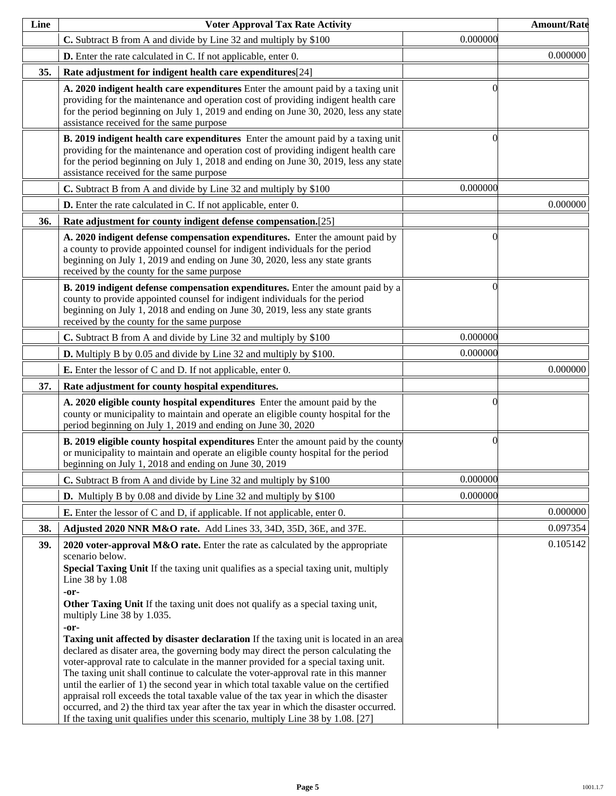| Line | <b>Voter Approval Tax Rate Activity</b>                                                                                                                                                                                                                                                                                                                                                                                                                                                                                                                                                                                                                                                                                                                                                                                                                                                                                                                                                                                                                                      |          | <b>Amount/Rate</b> |
|------|------------------------------------------------------------------------------------------------------------------------------------------------------------------------------------------------------------------------------------------------------------------------------------------------------------------------------------------------------------------------------------------------------------------------------------------------------------------------------------------------------------------------------------------------------------------------------------------------------------------------------------------------------------------------------------------------------------------------------------------------------------------------------------------------------------------------------------------------------------------------------------------------------------------------------------------------------------------------------------------------------------------------------------------------------------------------------|----------|--------------------|
|      | C. Subtract B from A and divide by Line 32 and multiply by \$100                                                                                                                                                                                                                                                                                                                                                                                                                                                                                                                                                                                                                                                                                                                                                                                                                                                                                                                                                                                                             | 0.000000 |                    |
|      | <b>D.</b> Enter the rate calculated in C. If not applicable, enter 0.                                                                                                                                                                                                                                                                                                                                                                                                                                                                                                                                                                                                                                                                                                                                                                                                                                                                                                                                                                                                        |          | 0.000000           |
| 35.  | Rate adjustment for indigent health care expenditures[24]                                                                                                                                                                                                                                                                                                                                                                                                                                                                                                                                                                                                                                                                                                                                                                                                                                                                                                                                                                                                                    |          |                    |
|      | A. 2020 indigent health care expenditures Enter the amount paid by a taxing unit<br>providing for the maintenance and operation cost of providing indigent health care<br>for the period beginning on July 1, 2019 and ending on June 30, 2020, less any state<br>assistance received for the same purpose                                                                                                                                                                                                                                                                                                                                                                                                                                                                                                                                                                                                                                                                                                                                                                   | ſ        |                    |
|      | B. 2019 indigent health care expenditures Enter the amount paid by a taxing unit<br>providing for the maintenance and operation cost of providing indigent health care<br>for the period beginning on July 1, 2018 and ending on June 30, 2019, less any state<br>assistance received for the same purpose                                                                                                                                                                                                                                                                                                                                                                                                                                                                                                                                                                                                                                                                                                                                                                   | 0        |                    |
|      | C. Subtract B from A and divide by Line 32 and multiply by \$100                                                                                                                                                                                                                                                                                                                                                                                                                                                                                                                                                                                                                                                                                                                                                                                                                                                                                                                                                                                                             | 0.000000 |                    |
|      | <b>D.</b> Enter the rate calculated in C. If not applicable, enter 0.                                                                                                                                                                                                                                                                                                                                                                                                                                                                                                                                                                                                                                                                                                                                                                                                                                                                                                                                                                                                        |          | 0.000000           |
| 36.  | Rate adjustment for county indigent defense compensation.[25]                                                                                                                                                                                                                                                                                                                                                                                                                                                                                                                                                                                                                                                                                                                                                                                                                                                                                                                                                                                                                |          |                    |
|      | A. 2020 indigent defense compensation expenditures. Enter the amount paid by<br>a county to provide appointed counsel for indigent individuals for the period<br>beginning on July 1, 2019 and ending on June 30, 2020, less any state grants<br>received by the county for the same purpose                                                                                                                                                                                                                                                                                                                                                                                                                                                                                                                                                                                                                                                                                                                                                                                 | 0        |                    |
|      | B. 2019 indigent defense compensation expenditures. Enter the amount paid by a<br>county to provide appointed counsel for indigent individuals for the period<br>beginning on July 1, 2018 and ending on June 30, 2019, less any state grants<br>received by the county for the same purpose                                                                                                                                                                                                                                                                                                                                                                                                                                                                                                                                                                                                                                                                                                                                                                                 | 0        |                    |
|      | C. Subtract B from A and divide by Line 32 and multiply by \$100                                                                                                                                                                                                                                                                                                                                                                                                                                                                                                                                                                                                                                                                                                                                                                                                                                                                                                                                                                                                             | 0.000000 |                    |
|      | <b>D.</b> Multiply B by 0.05 and divide by Line 32 and multiply by \$100.                                                                                                                                                                                                                                                                                                                                                                                                                                                                                                                                                                                                                                                                                                                                                                                                                                                                                                                                                                                                    | 0.000000 |                    |
|      | <b>E.</b> Enter the lessor of C and D. If not applicable, enter 0.                                                                                                                                                                                                                                                                                                                                                                                                                                                                                                                                                                                                                                                                                                                                                                                                                                                                                                                                                                                                           |          | 0.000000           |
| 37.  | Rate adjustment for county hospital expenditures.                                                                                                                                                                                                                                                                                                                                                                                                                                                                                                                                                                                                                                                                                                                                                                                                                                                                                                                                                                                                                            |          |                    |
|      | A. 2020 eligible county hospital expenditures Enter the amount paid by the<br>county or municipality to maintain and operate an eligible county hospital for the<br>period beginning on July 1, 2019 and ending on June 30, 2020                                                                                                                                                                                                                                                                                                                                                                                                                                                                                                                                                                                                                                                                                                                                                                                                                                             | 0        |                    |
|      | <b>B. 2019 eligible county hospital expenditures</b> Enter the amount paid by the county<br>or municipality to maintain and operate an eligible county hospital for the period<br>beginning on July 1, 2018 and ending on June 30, 2019                                                                                                                                                                                                                                                                                                                                                                                                                                                                                                                                                                                                                                                                                                                                                                                                                                      | $\Omega$ |                    |
|      | C. Subtract B from A and divide by Line 32 and multiply by \$100                                                                                                                                                                                                                                                                                                                                                                                                                                                                                                                                                                                                                                                                                                                                                                                                                                                                                                                                                                                                             | 0.000000 |                    |
|      | <b>D.</b> Multiply B by 0.08 and divide by Line 32 and multiply by \$100                                                                                                                                                                                                                                                                                                                                                                                                                                                                                                                                                                                                                                                                                                                                                                                                                                                                                                                                                                                                     | 0.000000 |                    |
|      | <b>E.</b> Enter the lessor of C and D, if applicable. If not applicable, enter 0.                                                                                                                                                                                                                                                                                                                                                                                                                                                                                                                                                                                                                                                                                                                                                                                                                                                                                                                                                                                            |          | 0.000000           |
| 38.  | Adjusted 2020 NNR M&O rate. Add Lines 33, 34D, 35D, 36E, and 37E.                                                                                                                                                                                                                                                                                                                                                                                                                                                                                                                                                                                                                                                                                                                                                                                                                                                                                                                                                                                                            |          | 0.097354           |
| 39.  | 2020 voter-approval M&O rate. Enter the rate as calculated by the appropriate<br>scenario below.<br>Special Taxing Unit If the taxing unit qualifies as a special taxing unit, multiply<br>Line 38 by 1.08<br>-or-<br>Other Taxing Unit If the taxing unit does not qualify as a special taxing unit,<br>multiply Line 38 by 1.035.<br>-or-<br><b>Taxing unit affected by disaster declaration</b> If the taxing unit is located in an area<br>declared as disater area, the governing body may direct the person calculating the<br>voter-approval rate to calculate in the manner provided for a special taxing unit.<br>The taxing unit shall continue to calculate the voter-approval rate in this manner<br>until the earlier of 1) the second year in which total taxable value on the certified<br>appraisal roll exceeds the total taxable value of the tax year in which the disaster<br>occurred, and 2) the third tax year after the tax year in which the disaster occurred.<br>If the taxing unit qualifies under this scenario, multiply Line 38 by 1.08. [27] |          | 0.105142           |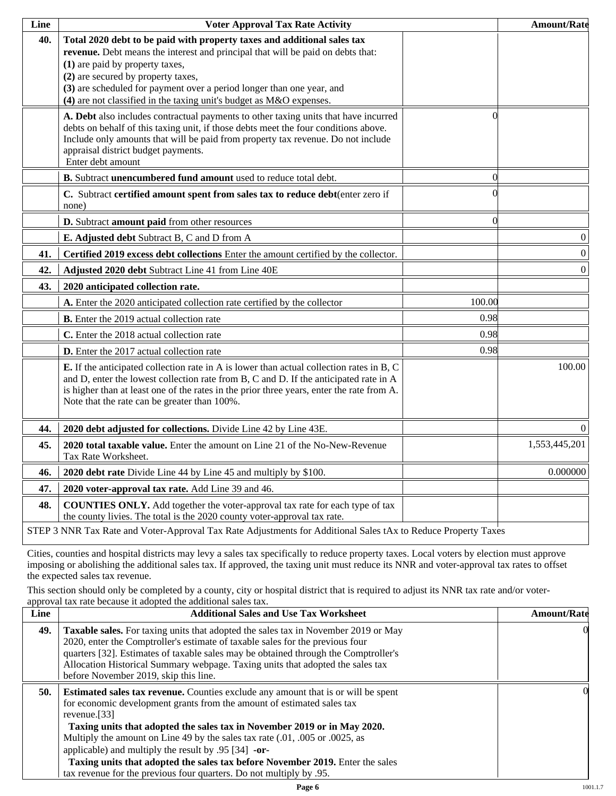| Line | <b>Voter Approval Tax Rate Activity</b>                                                                                                                                                                                                                                                                                                                                             |          | <b>Amount/Rate</b> |
|------|-------------------------------------------------------------------------------------------------------------------------------------------------------------------------------------------------------------------------------------------------------------------------------------------------------------------------------------------------------------------------------------|----------|--------------------|
| 40.  | Total 2020 debt to be paid with property taxes and additional sales tax<br>revenue. Debt means the interest and principal that will be paid on debts that:<br>(1) are paid by property taxes,<br>(2) are secured by property taxes,<br>(3) are scheduled for payment over a period longer than one year, and<br>(4) are not classified in the taxing unit's budget as M&O expenses. |          |                    |
|      | A. Debt also includes contractual payments to other taxing units that have incurred<br>debts on behalf of this taxing unit, if those debts meet the four conditions above.<br>Include only amounts that will be paid from property tax revenue. Do not include<br>appraisal district budget payments.<br>Enter debt amount                                                          | 0        |                    |
|      | B. Subtract unencumbered fund amount used to reduce total debt.                                                                                                                                                                                                                                                                                                                     | $\Omega$ |                    |
|      | C. Subtract certified amount spent from sales tax to reduce debt(enter zero if<br>none)                                                                                                                                                                                                                                                                                             |          |                    |
|      | D. Subtract amount paid from other resources                                                                                                                                                                                                                                                                                                                                        | $\Omega$ |                    |
|      | E. Adjusted debt Subtract B, C and D from A                                                                                                                                                                                                                                                                                                                                         |          | $\boldsymbol{0}$   |
| 41.  | Certified 2019 excess debt collections Enter the amount certified by the collector.                                                                                                                                                                                                                                                                                                 |          | $\boldsymbol{0}$   |
| 42.  | Adjusted 2020 debt Subtract Line 41 from Line 40E                                                                                                                                                                                                                                                                                                                                   |          | $\boldsymbol{0}$   |
| 43.  | 2020 anticipated collection rate.                                                                                                                                                                                                                                                                                                                                                   |          |                    |
|      | A. Enter the 2020 anticipated collection rate certified by the collector                                                                                                                                                                                                                                                                                                            | 100.00   |                    |
|      | <b>B.</b> Enter the 2019 actual collection rate                                                                                                                                                                                                                                                                                                                                     | 0.98     |                    |
|      | C. Enter the 2018 actual collection rate                                                                                                                                                                                                                                                                                                                                            | 0.98     |                    |
|      | D. Enter the 2017 actual collection rate                                                                                                                                                                                                                                                                                                                                            | 0.98     |                    |
|      | <b>E.</b> If the anticipated collection rate in A is lower than actual collection rates in B, C<br>and D, enter the lowest collection rate from B, C and D. If the anticipated rate in A<br>is higher than at least one of the rates in the prior three years, enter the rate from A.<br>Note that the rate can be greater than 100%.                                               |          | 100.00             |
| 44.  | 2020 debt adjusted for collections. Divide Line 42 by Line 43E.                                                                                                                                                                                                                                                                                                                     |          | $\Omega$           |
| 45.  | 2020 total taxable value. Enter the amount on Line 21 of the No-New-Revenue<br>Tax Rate Worksheet.                                                                                                                                                                                                                                                                                  |          | 1,553,445,201      |
| 46.  | 2020 debt rate Divide Line 44 by Line 45 and multiply by \$100.                                                                                                                                                                                                                                                                                                                     |          | 0.000000           |
| 47.  | 2020 voter-approval tax rate. Add Line 39 and 46.                                                                                                                                                                                                                                                                                                                                   |          |                    |
| 48.  | <b>COUNTIES ONLY.</b> Add together the voter-approval tax rate for each type of tax<br>the county livies. The total is the 2020 county voter-approval tax rate.                                                                                                                                                                                                                     |          |                    |
|      | STEP 3 NNR Tax Rate and Voter-Approval Tax Rate Adjustments for Additional Sales tAx to Reduce Property Taxes                                                                                                                                                                                                                                                                       |          |                    |

Cities, counties and hospital districts may levy a sales tax specifically to reduce property taxes. Local voters by election must approve imposing or abolishing the additional sales tax. If approved, the taxing unit must reduce its NNR and voter-approval tax rates to offset the expected sales tax revenue.

This section should only be completed by a county, city or hospital district that is required to adjust its NNR tax rate and/or voterapproval tax rate because it adopted the additional sales tax.

| <b>Additional Sales and Use Tax Worksheet</b>                                                                                                                                                                                                                                                                                                                                                                                                                                                | <b>Amount/Rate</b>                                                  |
|----------------------------------------------------------------------------------------------------------------------------------------------------------------------------------------------------------------------------------------------------------------------------------------------------------------------------------------------------------------------------------------------------------------------------------------------------------------------------------------------|---------------------------------------------------------------------|
| Taxable sales. For taxing units that adopted the sales tax in November 2019 or May<br>2020, enter the Comptroller's estimate of taxable sales for the previous four<br>quarters [32]. Estimates of taxable sales may be obtained through the Comptroller's<br>Allocation Historical Summary webpage. Taxing units that adopted the sales tax<br>before November 2019, skip this line.                                                                                                        | $\Omega$                                                            |
| <b>Estimated sales tax revenue.</b> Counties exclude any amount that is or will be spent<br>for economic development grants from the amount of estimated sales tax<br>revenue. $[33]$<br>Taxing units that adopted the sales tax in November 2019 or in May 2020.<br>Multiply the amount on Line 49 by the sales tax rate (.01, .005 or .0025, as<br>applicable) and multiply the result by $.95$ [34] -or-<br>Taxing units that adopted the sales tax before November 2019. Enter the sales | OI.                                                                 |
|                                                                                                                                                                                                                                                                                                                                                                                                                                                                                              | tax revenue for the previous four quarters. Do not multiply by .95. |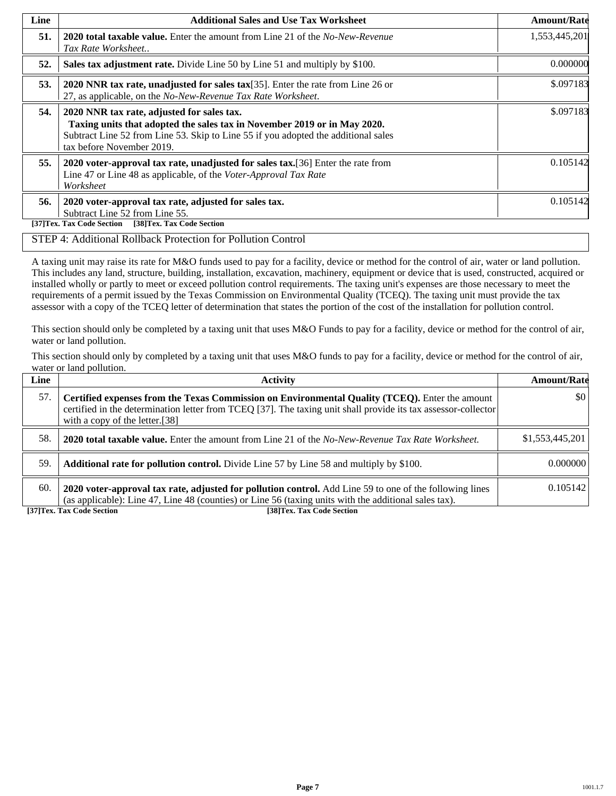| Line | <b>Additional Sales and Use Tax Worksheet</b>                                                                                                                                                                                             | <b>Amount/Rate</b> |
|------|-------------------------------------------------------------------------------------------------------------------------------------------------------------------------------------------------------------------------------------------|--------------------|
| 51.  | <b>2020 total taxable value.</b> Enter the amount from Line 21 of the <i>No-New-Revenue</i><br>Tax Rate Worksheet                                                                                                                         | 1,553,445,201      |
| 52.  | Sales tax adjustment rate. Divide Line 50 by Line 51 and multiply by \$100.                                                                                                                                                               | 0.000000           |
| 53.  | 2020 NNR tax rate, unadjusted for sales tax[35]. Enter the rate from Line 26 or<br>27, as applicable, on the No-New-Revenue Tax Rate Worksheet.                                                                                           | \$.097183          |
| 54.  | 2020 NNR tax rate, adjusted for sales tax.<br>Taxing units that adopted the sales tax in November 2019 or in May 2020.<br>Subtract Line 52 from Line 53. Skip to Line 55 if you adopted the additional sales<br>tax before November 2019. | \$.097183          |
| 55.  | 2020 voter-approval tax rate, unadjusted for sales tax. [36] Enter the rate from<br>Line 47 or Line 48 as applicable, of the Voter-Approval Tax Rate<br>Worksheet                                                                         | 0.105142           |
| 56.  | 2020 voter-approval tax rate, adjusted for sales tax.<br>Subtract Line 52 from Line 55.<br>[38]Tex. Tax Code Section<br>[37]Tex. Tax Code Section                                                                                         | 0.105142           |

#### STEP 4: Additional Rollback Protection for Pollution Control

A taxing unit may raise its rate for M&O funds used to pay for a facility, device or method for the control of air, water or land pollution. This includes any land, structure, building, installation, excavation, machinery, equipment or device that is used, constructed, acquired or installed wholly or partly to meet or exceed pollution control requirements. The taxing unit's expenses are those necessary to meet the requirements of a permit issued by the Texas Commission on Environmental Quality (TCEQ). The taxing unit must provide the tax assessor with a copy of the TCEQ letter of determination that states the portion of the cost of the installation for pollution control.

This section should only be completed by a taxing unit that uses M&O Funds to pay for a facility, device or method for the control of air, water or land pollution.

This section should only by completed by a taxing unit that uses M&O funds to pay for a facility, device or method for the control of air, water or land pollution.

| Line | <b>Activity</b>                                                                                                                                                                                                                                    | <b>Amount/Rate</b>      |
|------|----------------------------------------------------------------------------------------------------------------------------------------------------------------------------------------------------------------------------------------------------|-------------------------|
| 57.  | Certified expenses from the Texas Commission on Environmental Quality (TCEQ). Enter the amount<br>certified in the determination letter from TCEQ [37]. The taxing unit shall provide its tax assessor-collector<br>with a copy of the letter.[38] | $\vert \$\text{0}\vert$ |
| 58.  | <b>2020 total taxable value.</b> Enter the amount from Line 21 of the No-New-Revenue Tax Rate Worksheet.                                                                                                                                           | \$1,553,445,201         |
| 59.  | <b>Additional rate for pollution control.</b> Divide Line 57 by Line 58 and multiply by \$100.                                                                                                                                                     | 0.000000                |
| 60.  | 2020 voter-approval tax rate, adjusted for pollution control. Add Line 59 to one of the following lines<br>(as applicable): Line 47, Line 48 (counties) or Line 56 (taxing units with the additional sales tax).                                   | 0.105142                |

**[37]Tex. Tax Code Section [38]Tex. Tax Code Section**